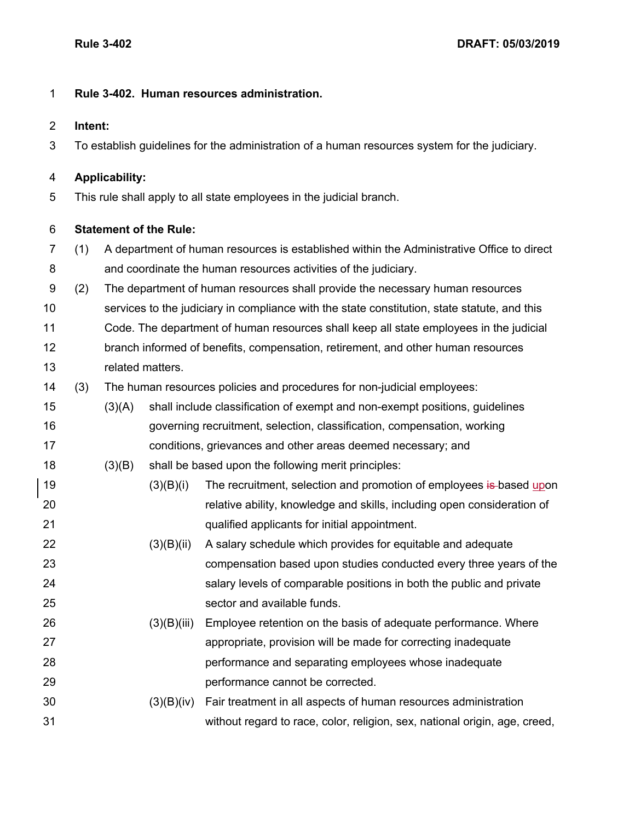## **Rule 3-402. Human resources administration.**

**Intent:**

To establish guidelines for the administration of a human resources system for the judiciary.

## **Applicability:**

This rule shall apply to all state employees in the judicial branch.

## **Statement of the Rule:**

- (1) A department of human resources is established within the Administrative Office to direct and coordinate the human resources activities of the judiciary.
- (2) The department of human resources shall provide the necessary human resources
- services to the judiciary in compliance with the state constitution, state statute, and this
- Code. The department of human resources shall keep all state employees in the judicial branch informed of benefits, compensation, retirement, and other human resources related matters.
- (3) The human resources policies and procedures for non-judicial employees:
- (3)(A) shall include classification of exempt and non-exempt positions, guidelines governing recruitment, selection, classification, compensation, working conditions, grievances and other areas deemed necessary; and
- (3)(B) shall be based upon the following merit principles:
- 19 (3)(B)(i) The recruitment, selection and promotion of employees is based upon relative ability, knowledge and skills, including open consideration of qualified applicants for initial appointment.
- (3)(B)(ii) A salary schedule which provides for equitable and adequate compensation based upon studies conducted every three years of the salary levels of comparable positions in both the public and private sector and available funds.
- (3)(B)(iii) Employee retention on the basis of adequate performance. Where appropriate, provision will be made for correcting inadequate performance and separating employees whose inadequate performance cannot be corrected.
- (3)(B)(iv) Fair treatment in all aspects of human resources administration without regard to race, color, religion, sex, national origin, age, creed,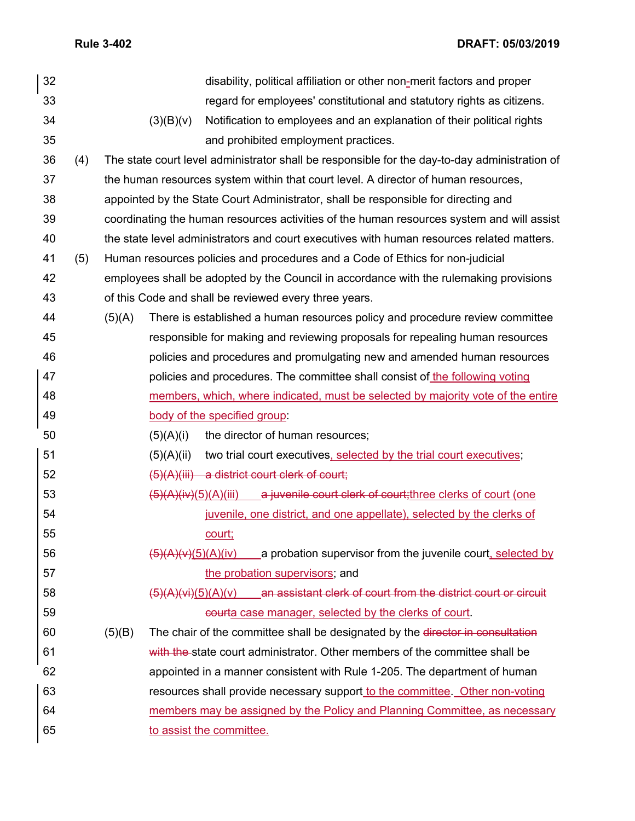**Rule 3-402 DRAFT: 05/03/2019**

| 32 |     |                                                                                               | disability, political affiliation or other non-merit factors and proper                         |  |
|----|-----|-----------------------------------------------------------------------------------------------|-------------------------------------------------------------------------------------------------|--|
| 33 |     |                                                                                               | regard for employees' constitutional and statutory rights as citizens.                          |  |
| 34 |     | (3)(B)(v)                                                                                     | Notification to employees and an explanation of their political rights                          |  |
| 35 |     |                                                                                               | and prohibited employment practices.                                                            |  |
| 36 | (4) | The state court level administrator shall be responsible for the day-to-day administration of |                                                                                                 |  |
| 37 |     | the human resources system within that court level. A director of human resources,            |                                                                                                 |  |
| 38 |     | appointed by the State Court Administrator, shall be responsible for directing and            |                                                                                                 |  |
| 39 |     |                                                                                               | coordinating the human resources activities of the human resources system and will assist       |  |
| 40 |     |                                                                                               | the state level administrators and court executives with human resources related matters.       |  |
| 41 | (5) | Human resources policies and procedures and a Code of Ethics for non-judicial                 |                                                                                                 |  |
| 42 |     | employees shall be adopted by the Council in accordance with the rulemaking provisions        |                                                                                                 |  |
| 43 |     | of this Code and shall be reviewed every three years.                                         |                                                                                                 |  |
| 44 |     | (5)(A)                                                                                        | There is established a human resources policy and procedure review committee                    |  |
| 45 |     |                                                                                               | responsible for making and reviewing proposals for repealing human resources                    |  |
| 46 |     |                                                                                               | policies and procedures and promulgating new and amended human resources                        |  |
| 47 |     |                                                                                               | policies and procedures. The committee shall consist of the following voting                    |  |
| 48 |     |                                                                                               | members, which, where indicated, must be selected by majority vote of the entire                |  |
| 49 |     |                                                                                               | body of the specified group:                                                                    |  |
| 50 |     | (5)(A)(i)                                                                                     | the director of human resources;                                                                |  |
| 51 |     | (5)(A)(ii)                                                                                    | two trial court executives, selected by the trial court executives;                             |  |
| 52 |     |                                                                                               | $(5)(A)(iii)$ a district court clerk of court;                                                  |  |
| 53 |     |                                                                                               | $\frac{1}{2}$ (5)(A)(iv)(5)(A)(iii) a juvenile court clerk of court; three clerks of court (one |  |
| 54 |     |                                                                                               | juvenile, one district, and one appellate), selected by the clerks of                           |  |
| 55 |     |                                                                                               | court;                                                                                          |  |
| 56 |     |                                                                                               | $\frac{5}{4}$ (A)(v)(5)(A)(iv) a probation supervisor from the juvenile court, selected by      |  |
| 57 |     |                                                                                               | the probation supervisors; and                                                                  |  |
| 58 |     |                                                                                               | an assistant clerk of court from the district court or circuit<br>(5)(A)(vi)(5)(A)(v)           |  |
| 59 |     |                                                                                               | courta case manager, selected by the clerks of court.                                           |  |
| 60 |     | (5)(B)                                                                                        | The chair of the committee shall be designated by the director in consultation                  |  |
| 61 |     |                                                                                               | with the state court administrator. Other members of the committee shall be                     |  |
| 62 |     |                                                                                               | appointed in a manner consistent with Rule 1-205. The department of human                       |  |
| 63 |     |                                                                                               | resources shall provide necessary support to the committee. Other non-voting                    |  |
| 64 |     |                                                                                               | members may be assigned by the Policy and Planning Committee, as necessary                      |  |
| 65 |     |                                                                                               | to assist the committee.                                                                        |  |
|    |     |                                                                                               |                                                                                                 |  |